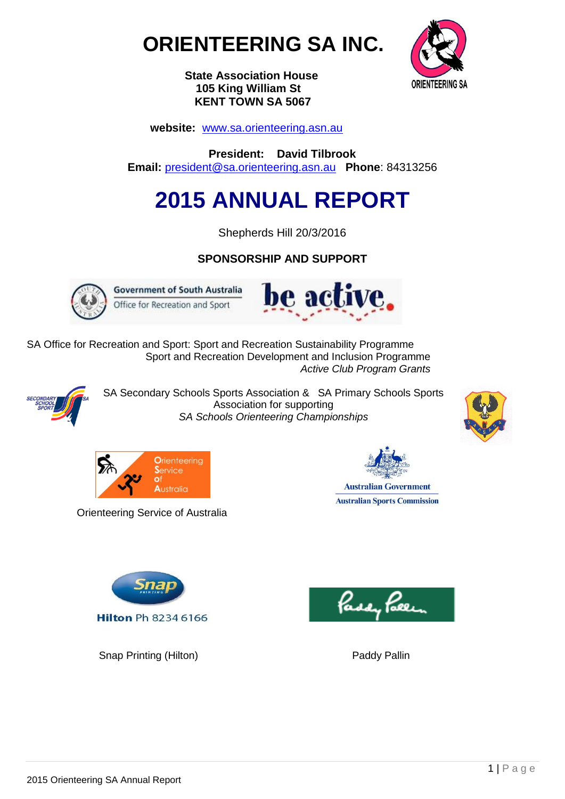



 **State Association House 105 King William St KENT TOWN SA 5067**

 **website:** [www.sa.orienteering.asn.au](http://www.sa.orienteering.asn.au/)

**President: David Tilbrook Email:** [president@sa.orienteering.asn.au](mailto:president@sa.orienteering.asn.au) **Phone**: 84313256

# **2015 ANNUAL REPORT**

Shepherds Hill 20/3/2016

# **SPONSORSHIP AND SUPPORT**



**Government of South Australia** Office for Recreation and Sport



SA Office for Recreation and Sport: Sport and Recreation Sustainability Programme Sport and Recreation Development and Inclusion Programme  *Active Club Program Grants*



SA Secondary Schools Sports Association & SA Primary Schools Sports Association for supporting *SA Schools Orienteering Championships*





Orienteering Service of Australia

**Australian Government Australian Sports Commission** 



Snap Printing (Hilton) **Paddy Pallin** Paddy Pallin

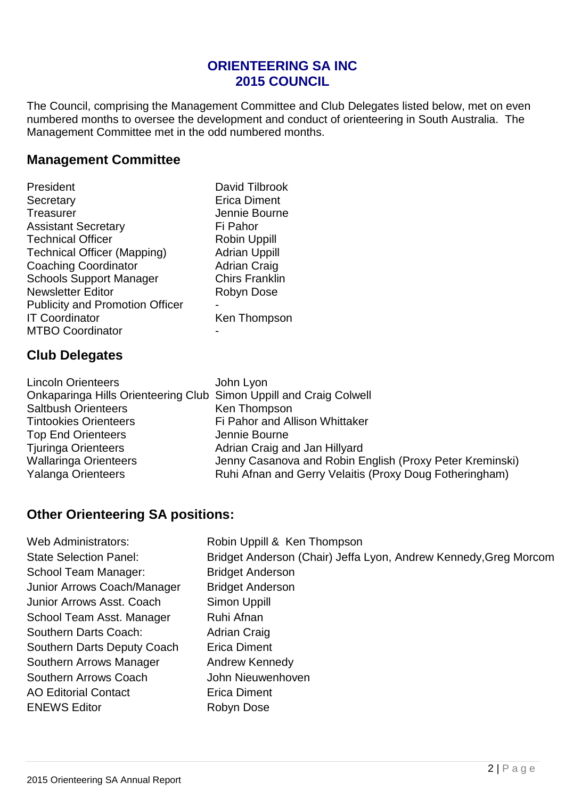# **ORIENTEERING SA INC 2015 COUNCIL**

The Council, comprising the Management Committee and Club Delegates listed below, met on even numbered months to oversee the development and conduct of orienteering in South Australia. The Management Committee met in the odd numbered months.

# **Management Committee**

| President                              |   |
|----------------------------------------|---|
| Secretary                              |   |
| <b>Treasurer</b>                       |   |
| <b>Assistant Secretary</b>             | F |
| <b>Technical Officer</b>               |   |
| <b>Technical Officer (Mapping)</b>     |   |
| <b>Coaching Coordinator</b>            |   |
| <b>Schools Support Manager</b>         |   |
| <b>Newsletter Editor</b>               | F |
| <b>Publicity and Promotion Officer</b> |   |
| <b>IT Coordinator</b>                  |   |
| <b>MTBO Coordinator</b>                |   |
|                                        |   |

David Tilbrook Erica Diment Jennie Bourne Fi Pahor Robin Uppill Adrian Uppill Adrian Craig Chirs Franklin Robyn Dose Ken Thompson

# **Club Delegates**

|                                                                                      | <b>Lincoln Orienteers</b><br>Onkaparinga Hills Orienteering Club Simon Uppill and Craig Colwell<br><b>Saltbush Orienteers</b><br><b>Tintookies Orienteers</b><br><b>Top End Orienteers</b><br><b>Tjuringa Orienteers</b> | John Lyon<br>Ken Thompson<br>Fi Pahor and Allison Whittaker<br>Jennie Bourne<br>Adrian Craig and Jan Hillyard |
|--------------------------------------------------------------------------------------|--------------------------------------------------------------------------------------------------------------------------------------------------------------------------------------------------------------------------|---------------------------------------------------------------------------------------------------------------|
| Ruhi Afnan and Gerry Velaitis (Proxy Doug Fotheringham)<br><b>Yalanga Orienteers</b> | <b>Wallaringa Orienteers</b>                                                                                                                                                                                             | Jenny Casanova and Robin English (Proxy Peter Kreminski)                                                      |

# **Other Orienteering SA positions:**

| Web Administrators:           | Robin Uppill & Ken Thompson                                      |
|-------------------------------|------------------------------------------------------------------|
| <b>State Selection Panel:</b> | Bridget Anderson (Chair) Jeffa Lyon, Andrew Kennedy, Greg Morcom |
| School Team Manager:          | <b>Bridget Anderson</b>                                          |
| Junior Arrows Coach/Manager   | <b>Bridget Anderson</b>                                          |
| Junior Arrows Asst. Coach     | Simon Uppill                                                     |
| School Team Asst. Manager     | Ruhi Afnan                                                       |
| Southern Darts Coach:         | <b>Adrian Craig</b>                                              |
| Southern Darts Deputy Coach   | <b>Erica Diment</b>                                              |
| Southern Arrows Manager       | Andrew Kennedy                                                   |
| Southern Arrows Coach         | John Nieuwenhoven                                                |
| <b>AO Editorial Contact</b>   | <b>Erica Diment</b>                                              |
| <b>ENEWS Editor</b>           | Robyn Dose                                                       |
|                               |                                                                  |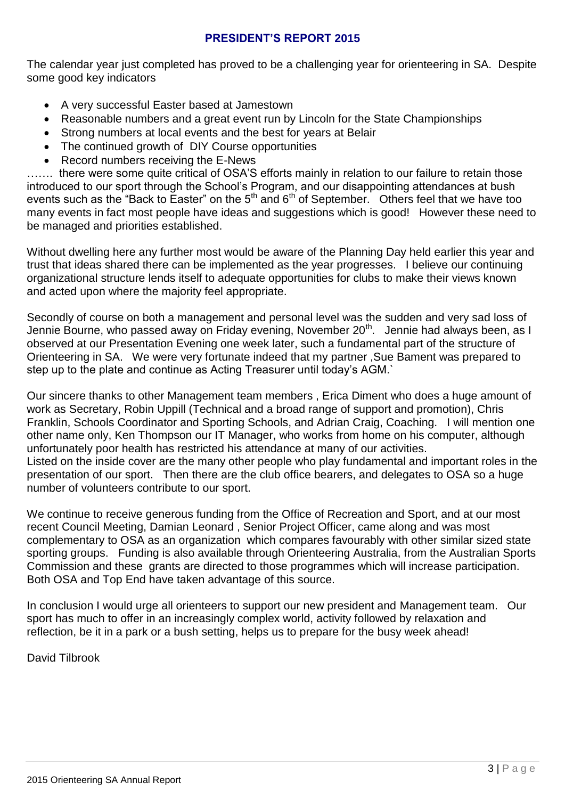#### **PRESIDENT'S REPORT 2015**

The calendar year just completed has proved to be a challenging year for orienteering in SA. Despite some good key indicators

- A very successful Easter based at Jamestown
- Reasonable numbers and a great event run by Lincoln for the State Championships
- Strong numbers at local events and the best for years at Belair
- The continued growth of DIY Course opportunities
- Record numbers receiving the E-News

....... there were some quite critical of OSA'S efforts mainly in relation to our failure to retain those introduced to our sport through the School's Program, and our disappointing attendances at bush events such as the "Back to Easter" on the  $5<sup>th</sup>$  and  $6<sup>th</sup>$  of September. Others feel that we have too many events in fact most people have ideas and suggestions which is good! However these need to be managed and priorities established.

Without dwelling here any further most would be aware of the Planning Day held earlier this year and trust that ideas shared there can be implemented as the year progresses. I believe our continuing organizational structure lends itself to adequate opportunities for clubs to make their views known and acted upon where the majority feel appropriate.

Secondly of course on both a management and personal level was the sudden and very sad loss of Jennie Bourne, who passed away on Friday evening, November 20<sup>th</sup>. Jennie had always been, as I observed at our Presentation Evening one week later, such a fundamental part of the structure of Orienteering in SA. We were very fortunate indeed that my partner ,Sue Bament was prepared to step up to the plate and continue as Acting Treasurer until today's AGM.`

Our sincere thanks to other Management team members , Erica Diment who does a huge amount of work as Secretary, Robin Uppill (Technical and a broad range of support and promotion), Chris Franklin, Schools Coordinator and Sporting Schools, and Adrian Craig, Coaching. I will mention one other name only, Ken Thompson our IT Manager, who works from home on his computer, although unfortunately poor health has restricted his attendance at many of our activities. Listed on the inside cover are the many other people who play fundamental and important roles in the presentation of our sport. Then there are the club office bearers, and delegates to OSA so a huge number of volunteers contribute to our sport.

We continue to receive generous funding from the Office of Recreation and Sport, and at our most recent Council Meeting, Damian Leonard , Senior Project Officer, came along and was most complementary to OSA as an organization which compares favourably with other similar sized state sporting groups. Funding is also available through Orienteering Australia, from the Australian Sports Commission and these grants are directed to those programmes which will increase participation. Both OSA and Top End have taken advantage of this source.

In conclusion I would urge all orienteers to support our new president and Management team. Our sport has much to offer in an increasingly complex world, activity followed by relaxation and reflection, be it in a park or a bush setting, helps us to prepare for the busy week ahead!

David Tilbrook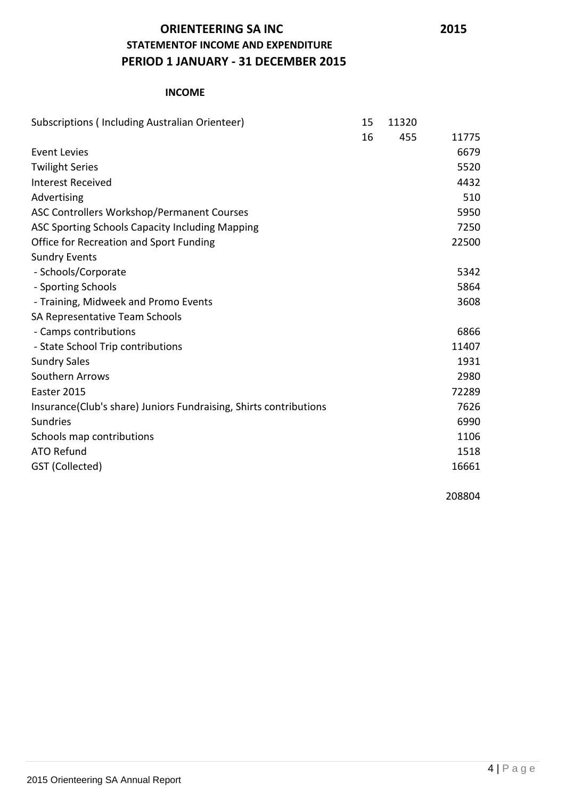# **ORIENTEERING SA INC 2015 STATEMENTOF INCOME AND EXPENDITURE PERIOD 1 JANUARY - 31 DECEMBER 2015**

#### **INCOME**

| Subscriptions (Including Australian Orienteer)                     | 15 | 11320 |       |
|--------------------------------------------------------------------|----|-------|-------|
|                                                                    | 16 | 455   | 11775 |
| <b>Event Levies</b>                                                |    |       | 6679  |
| <b>Twilight Series</b>                                             |    |       | 5520  |
| <b>Interest Received</b>                                           |    |       | 4432  |
| Advertising                                                        |    |       | 510   |
| ASC Controllers Workshop/Permanent Courses                         |    |       | 5950  |
| ASC Sporting Schools Capacity Including Mapping                    |    |       | 7250  |
| Office for Recreation and Sport Funding                            |    |       | 22500 |
| <b>Sundry Events</b>                                               |    |       |       |
| - Schools/Corporate                                                |    |       | 5342  |
| - Sporting Schools                                                 |    |       | 5864  |
| - Training, Midweek and Promo Events                               |    |       | 3608  |
| SA Representative Team Schools                                     |    |       |       |
| - Camps contributions                                              |    |       | 6866  |
| - State School Trip contributions                                  |    |       | 11407 |
| <b>Sundry Sales</b>                                                |    |       | 1931  |
| Southern Arrows                                                    |    |       | 2980  |
| Easter 2015                                                        |    |       | 72289 |
| Insurance (Club's share) Juniors Fundraising, Shirts contributions |    |       | 7626  |
| Sundries                                                           |    |       | 6990  |
| Schools map contributions                                          |    |       | 1106  |
| <b>ATO Refund</b>                                                  |    |       | 1518  |
| GST (Collected)                                                    |    |       | 16661 |
|                                                                    |    |       |       |

208804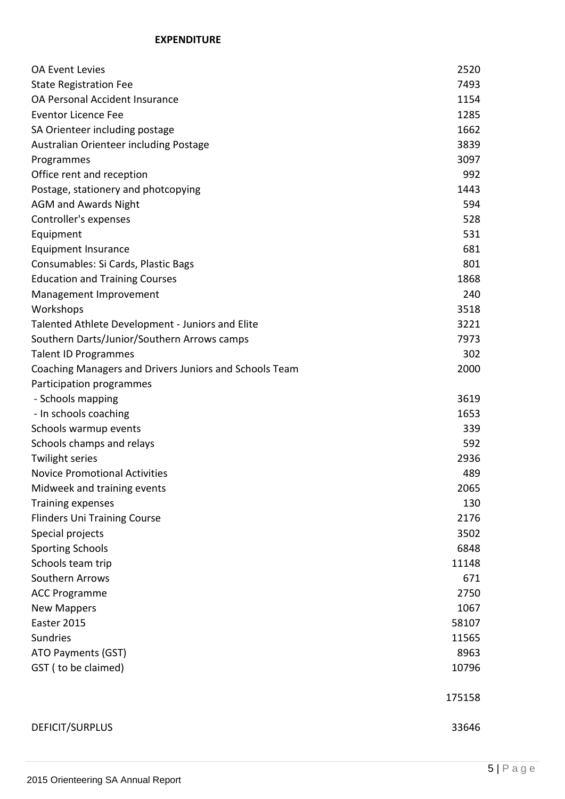#### **EXPENDITURE**

| <b>OA Event Levies</b>                                 | 2520   |
|--------------------------------------------------------|--------|
| <b>State Registration Fee</b>                          | 7493   |
| OA Personal Accident Insurance                         | 1154   |
| <b>Eventor Licence Fee</b>                             | 1285   |
| SA Orienteer including postage                         | 1662   |
| Australian Orienteer including Postage                 | 3839   |
| Programmes                                             | 3097   |
| Office rent and reception                              | 992    |
| Postage, stationery and photcopying                    | 1443   |
| <b>AGM and Awards Night</b>                            | 594    |
| Controller's expenses                                  | 528    |
| Equipment                                              | 531    |
| <b>Equipment Insurance</b>                             | 681    |
| Consumables: Si Cards, Plastic Bags                    | 801    |
| <b>Education and Training Courses</b>                  | 1868   |
| Management Improvement                                 | 240    |
| Workshops                                              | 3518   |
| Talented Athlete Development - Juniors and Elite       | 3221   |
| Southern Darts/Junior/Southern Arrows camps            | 7973   |
| <b>Talent ID Programmes</b>                            | 302    |
| Coaching Managers and Drivers Juniors and Schools Team | 2000   |
| Participation programmes                               |        |
| - Schools mapping                                      | 3619   |
| - In schools coaching                                  | 1653   |
| Schools warmup events                                  | 339    |
| Schools champs and relays                              | 592    |
| <b>Twilight series</b>                                 | 2936   |
| <b>Novice Promotional Activities</b>                   | 489    |
| Midweek and training events                            | 2065   |
| <b>Training expenses</b>                               | 130    |
| <b>Flinders Uni Training Course</b>                    | 2176   |
| Special projects                                       | 3502   |
| <b>Sporting Schools</b>                                | 6848   |
| Schools team trip                                      | 11148  |
| Southern Arrows                                        | 671    |
| <b>ACC Programme</b>                                   | 2750   |
| <b>New Mappers</b>                                     | 1067   |
| Easter 2015                                            | 58107  |
| Sundries                                               | 11565  |
| ATO Payments (GST)                                     | 8963   |
| GST (to be claimed)                                    | 10796  |
|                                                        |        |
|                                                        | 175158 |
|                                                        |        |
| DEFICIT/SURPLUS                                        | 33646  |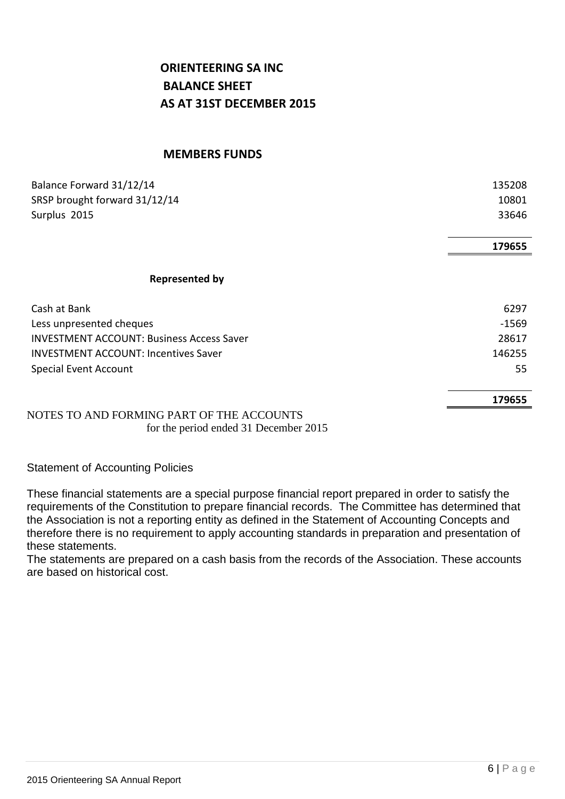# **ORIENTEERING SA INC BALANCE SHEET AS AT 31ST DECEMBER 2015**

#### **MEMBERS FUNDS**

| Balance Forward 31/12/14                         | 135208  |
|--------------------------------------------------|---------|
| SRSP brought forward 31/12/14                    | 10801   |
| Surplus 2015                                     | 33646   |
|                                                  |         |
|                                                  | 179655  |
|                                                  |         |
| <b>Represented by</b>                            |         |
| Cash at Bank                                     | 6297    |
| Less unpresented cheques                         | $-1569$ |
| <b>INVESTMENT ACCOUNT: Business Access Saver</b> | 28617   |
| <b>INVESTMENT ACCOUNT: Incentives Saver</b>      | 146255  |
| <b>Special Event Account</b>                     | 55      |
|                                                  | 179655  |
| NOTES TO AND FORMING RART OF THE ACCOUNTS        |         |

NOTES TO AND FORMING PART OF THE ACCOUNTS for the period ended 31 December 2015

Statement of Accounting Policies

These financial statements are a special purpose financial report prepared in order to satisfy the requirements of the Constitution to prepare financial records. The Committee has determined that the Association is not a reporting entity as defined in the Statement of Accounting Concepts and therefore there is no requirement to apply accounting standards in preparation and presentation of these statements.

The statements are prepared on a cash basis from the records of the Association. These accounts are based on historical cost.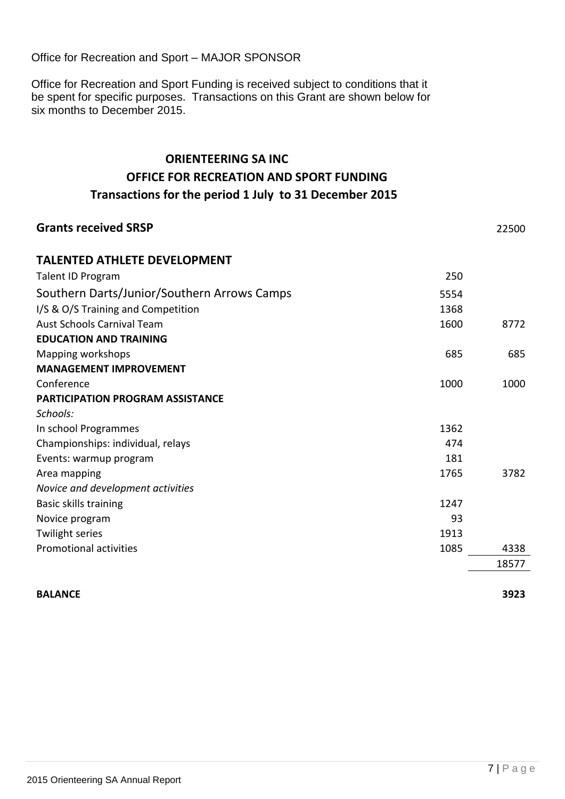Office for Recreation and Sport – MAJOR SPONSOR

Office for Recreation and Sport Funding is received subject to conditions that it be spent for specific purposes. Transactions on this Grant are shown below for six months to December 2015.

# **ORIENTEERING SA INC OFFICE FOR RECREATION AND SPORT FUNDING Transactions for the period 1 July to 31 December 2015**

| <b>Grants received SRSP</b>                 |      | 22500 |
|---------------------------------------------|------|-------|
| <b>TALENTED ATHLETE DEVELOPMENT</b>         |      |       |
| Talent ID Program                           | 250  |       |
| Southern Darts/Junior/Southern Arrows Camps | 5554 |       |
| I/S & O/S Training and Competition          | 1368 |       |
| <b>Aust Schools Carnival Team</b>           | 1600 | 8772  |
| <b>EDUCATION AND TRAINING</b>               |      |       |
| Mapping workshops                           | 685  | 685   |
| <b>MANAGEMENT IMPROVEMENT</b>               |      |       |
| Conference                                  | 1000 | 1000  |
| <b>PARTICIPATION PROGRAM ASSISTANCE</b>     |      |       |
| Schools:                                    |      |       |
| In school Programmes                        | 1362 |       |
| Championships: individual, relays           | 474  |       |
| Events: warmup program                      | 181  |       |
| Area mapping                                | 1765 | 3782  |
| Novice and development activities           |      |       |
| Basic skills training                       | 1247 |       |
| Novice program                              | 93   |       |
| <b>Twilight series</b>                      | 1913 |       |
| <b>Promotional activities</b>               | 1085 | 4338  |
|                                             |      | 18577 |
|                                             |      |       |

#### **BALANCE 3923**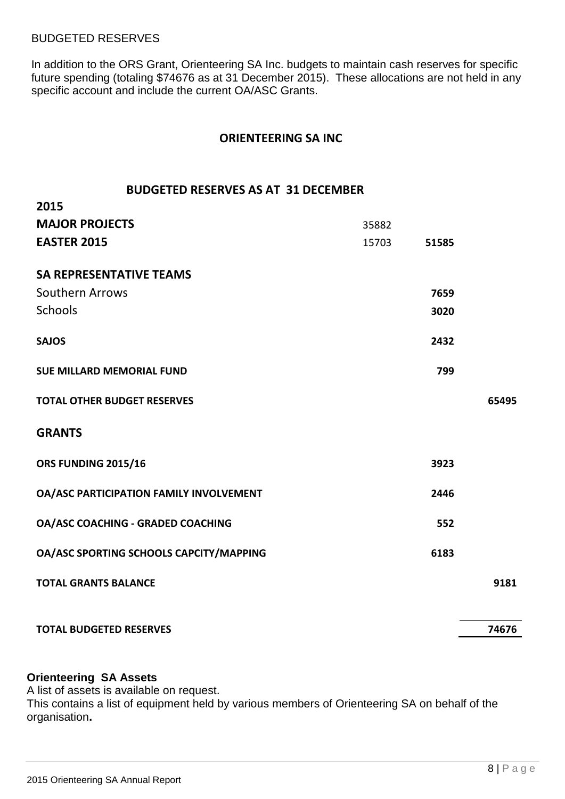#### BUDGETED RESERVES

**2015**

In addition to the ORS Grant, Orienteering SA Inc. budgets to maintain cash reserves for specific future spending (totaling \$74676 as at 31 December 2015). These allocations are not held in any specific account and include the current OA/ASC Grants.

#### **ORIENTEERING SA INC**

#### **BUDGETED RESERVES AS AT 31 DECEMBER**

| <b>MAJOR PROJECTS</b>                    | 35882 |       |       |
|------------------------------------------|-------|-------|-------|
| <b>EASTER 2015</b>                       | 15703 | 51585 |       |
| <b>SA REPRESENTATIVE TEAMS</b>           |       |       |       |
| Southern Arrows                          |       | 7659  |       |
| <b>Schools</b>                           |       | 3020  |       |
| <b>SAJOS</b>                             |       | 2432  |       |
| <b>SUE MILLARD MEMORIAL FUND</b>         |       | 799   |       |
| <b>TOTAL OTHER BUDGET RESERVES</b>       |       |       | 65495 |
| <b>GRANTS</b>                            |       |       |       |
| ORS FUNDING 2015/16                      |       | 3923  |       |
| OA/ASC PARTICIPATION FAMILY INVOLVEMENT  |       | 2446  |       |
| <b>OA/ASC COACHING - GRADED COACHING</b> |       | 552   |       |
| OA/ASC SPORTING SCHOOLS CAPCITY/MAPPING  |       | 6183  |       |
| <b>TOTAL GRANTS BALANCE</b>              |       |       | 9181  |
| <b>TOTAL BUDGETED RESERVES</b>           |       |       | 74676 |

#### **Orienteering SA Assets**

A list of assets is available on request.

This contains a list of equipment held by various members of Orienteering SA on behalf of the organisation**.**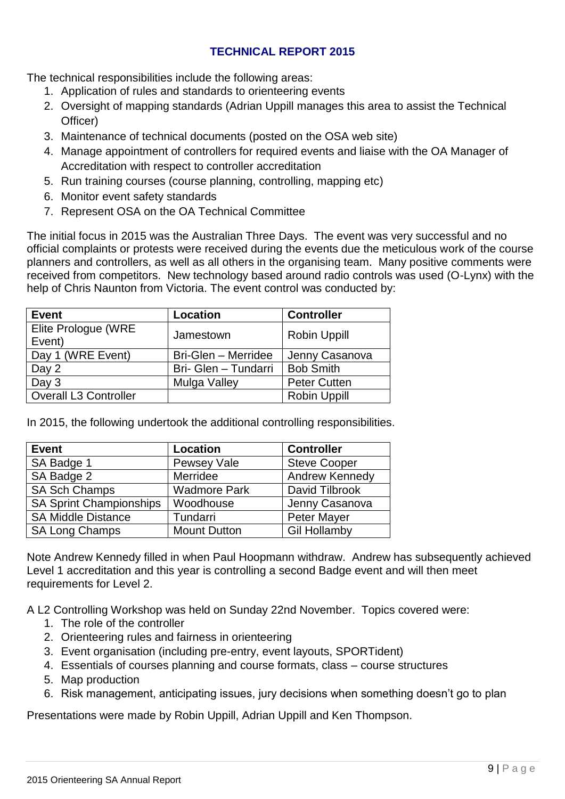#### **TECHNICAL REPORT 2015**

The technical responsibilities include the following areas:

- 1. Application of rules and standards to orienteering events
- 2. Oversight of mapping standards (Adrian Uppill manages this area to assist the Technical Officer)
- 3. Maintenance of technical documents (posted on the OSA web site)
- 4. Manage appointment of controllers for required events and liaise with the OA Manager of Accreditation with respect to controller accreditation
- 5. Run training courses (course planning, controlling, mapping etc)
- 6. Monitor event safety standards
- 7. Represent OSA on the OA Technical Committee

The initial focus in 2015 was the Australian Three Days. The event was very successful and no official complaints or protests were received during the events due the meticulous work of the course planners and controllers, as well as all others in the organising team. Many positive comments were received from competitors. New technology based around radio controls was used (O-Lynx) with the help of Chris Naunton from Victoria. The event control was conducted by:

| <b>Event</b>                 | <b>Location</b>      | <b>Controller</b>   |
|------------------------------|----------------------|---------------------|
| Elite Prologue (WRE          | Jamestown            | <b>Robin Uppill</b> |
| Event)                       |                      |                     |
| Day 1 (WRE Event)            | Bri-Glen - Merridee  | Jenny Casanova      |
| Day 2                        | Bri- Glen - Tundarri | <b>Bob Smith</b>    |
| Day 3                        | Mulga Valley         | <b>Peter Cutten</b> |
| <b>Overall L3 Controller</b> |                      | <b>Robin Uppill</b> |

In 2015, the following undertook the additional controlling responsibilities.

| <b>Event</b>                   | <b>Location</b>     | <b>Controller</b>     |
|--------------------------------|---------------------|-----------------------|
| SA Badge 1                     | Pewsey Vale         | <b>Steve Cooper</b>   |
| SA Badge 2                     | Merridee            | <b>Andrew Kennedy</b> |
| <b>SA Sch Champs</b>           | <b>Wadmore Park</b> | David Tilbrook        |
| <b>SA Sprint Championships</b> | Woodhouse           | Jenny Casanova        |
| <b>SA Middle Distance</b>      | Tundarri            | <b>Peter Mayer</b>    |
| <b>SA Long Champs</b>          | <b>Mount Dutton</b> | <b>Gil Hollamby</b>   |

Note Andrew Kennedy filled in when Paul Hoopmann withdraw. Andrew has subsequently achieved Level 1 accreditation and this year is controlling a second Badge event and will then meet requirements for Level 2.

A L2 Controlling Workshop was held on Sunday 22nd November. Topics covered were:

- 1. The role of the controller
- 2. Orienteering rules and fairness in orienteering
- 3. Event organisation (including pre-entry, event layouts, SPORTident)
- 4. Essentials of courses planning and course formats, class course structures
- 5. Map production
- 6. Risk management, anticipating issues, jury decisions when something doesn't go to plan

Presentations were made by Robin Uppill, Adrian Uppill and Ken Thompson.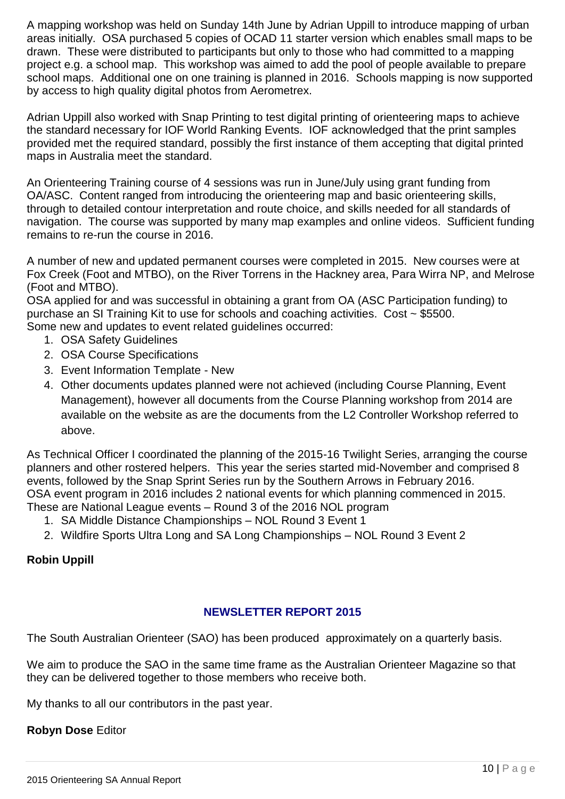A mapping workshop was held on Sunday 14th June by Adrian Uppill to introduce mapping of urban areas initially. OSA purchased 5 copies of OCAD 11 starter version which enables small maps to be drawn. These were distributed to participants but only to those who had committed to a mapping project e.g. a school map. This workshop was aimed to add the pool of people available to prepare school maps. Additional one on one training is planned in 2016. Schools mapping is now supported by access to high quality digital photos from Aerometrex.

Adrian Uppill also worked with Snap Printing to test digital printing of orienteering maps to achieve the standard necessary for IOF World Ranking Events. IOF acknowledged that the print samples provided met the required standard, possibly the first instance of them accepting that digital printed maps in Australia meet the standard.

An Orienteering Training course of 4 sessions was run in June/July using grant funding from OA/ASC. Content ranged from introducing the orienteering map and basic orienteering skills, through to detailed contour interpretation and route choice, and skills needed for all standards of navigation. The course was supported by many map examples and online videos. Sufficient funding remains to re-run the course in 2016.

A number of new and updated permanent courses were completed in 2015. New courses were at Fox Creek (Foot and MTBO), on the River Torrens in the Hackney area, Para Wirra NP, and Melrose (Foot and MTBO).

OSA applied for and was successful in obtaining a grant from OA (ASC Participation funding) to purchase an SI Training Kit to use for schools and coaching activities. Cost ~ \$5500. Some new and updates to event related guidelines occurred:

- 1. OSA Safety Guidelines
- 2. OSA Course Specifications
- 3. Event Information Template New
- 4. Other documents updates planned were not achieved (including Course Planning, Event Management), however all documents from the Course Planning workshop from 2014 are available on the website as are the documents from the L2 Controller Workshop referred to above.

As Technical Officer I coordinated the planning of the 2015-16 Twilight Series, arranging the course planners and other rostered helpers. This year the series started mid-November and comprised 8 events, followed by the Snap Sprint Series run by the Southern Arrows in February 2016. OSA event program in 2016 includes 2 national events for which planning commenced in 2015. These are National League events – Round 3 of the 2016 NOL program

- 1. SA Middle Distance Championships NOL Round 3 Event 1
- 2. Wildfire Sports Ultra Long and SA Long Championships NOL Round 3 Event 2

#### **Robin Uppill**

#### **NEWSLETTER REPORT 2015**

The South Australian Orienteer (SAO) has been produced approximately on a quarterly basis.

We aim to produce the SAO in the same time frame as the Australian Orienteer Magazine so that they can be delivered together to those members who receive both.

My thanks to all our contributors in the past year.

#### **Robyn Dose** Editor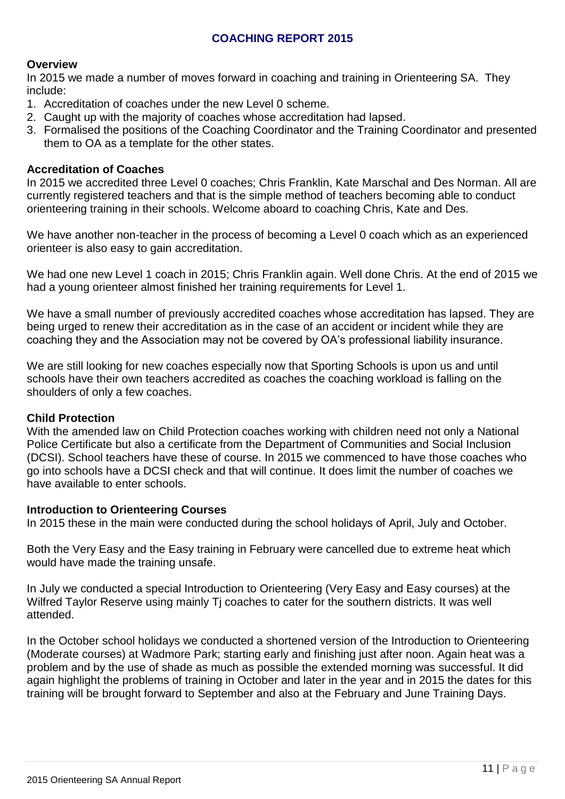#### **COACHING REPORT 2015**

#### **Overview**

In 2015 we made a number of moves forward in coaching and training in Orienteering SA. They include:

- 1. Accreditation of coaches under the new Level 0 scheme.
- 2. Caught up with the majority of coaches whose accreditation had lapsed.
- 3. Formalised the positions of the Coaching Coordinator and the Training Coordinator and presented them to OA as a template for the other states.

#### **Accreditation of Coaches**

In 2015 we accredited three Level 0 coaches; Chris Franklin, Kate Marschal and Des Norman. All are currently registered teachers and that is the simple method of teachers becoming able to conduct orienteering training in their schools. Welcome aboard to coaching Chris, Kate and Des.

We have another non-teacher in the process of becoming a Level 0 coach which as an experienced orienteer is also easy to gain accreditation.

We had one new Level 1 coach in 2015; Chris Franklin again. Well done Chris. At the end of 2015 we had a young orienteer almost finished her training requirements for Level 1.

We have a small number of previously accredited coaches whose accreditation has lapsed. They are being urged to renew their accreditation as in the case of an accident or incident while they are coaching they and the Association may not be covered by OA's professional liability insurance.

We are still looking for new coaches especially now that Sporting Schools is upon us and until schools have their own teachers accredited as coaches the coaching workload is falling on the shoulders of only a few coaches.

#### **Child Protection**

With the amended law on Child Protection coaches working with children need not only a National Police Certificate but also a certificate from the Department of Communities and Social Inclusion (DCSI). School teachers have these of course. In 2015 we commenced to have those coaches who go into schools have a DCSI check and that will continue. It does limit the number of coaches we have available to enter schools.

#### **Introduction to Orienteering Courses**

In 2015 these in the main were conducted during the school holidays of April, July and October.

Both the Very Easy and the Easy training in February were cancelled due to extreme heat which would have made the training unsafe.

In July we conducted a special Introduction to Orienteering (Very Easy and Easy courses) at the Wilfred Taylor Reserve using mainly Tj coaches to cater for the southern districts. It was well attended.

In the October school holidays we conducted a shortened version of the Introduction to Orienteering (Moderate courses) at Wadmore Park; starting early and finishing just after noon. Again heat was a problem and by the use of shade as much as possible the extended morning was successful. It did again highlight the problems of training in October and later in the year and in 2015 the dates for this training will be brought forward to September and also at the February and June Training Days.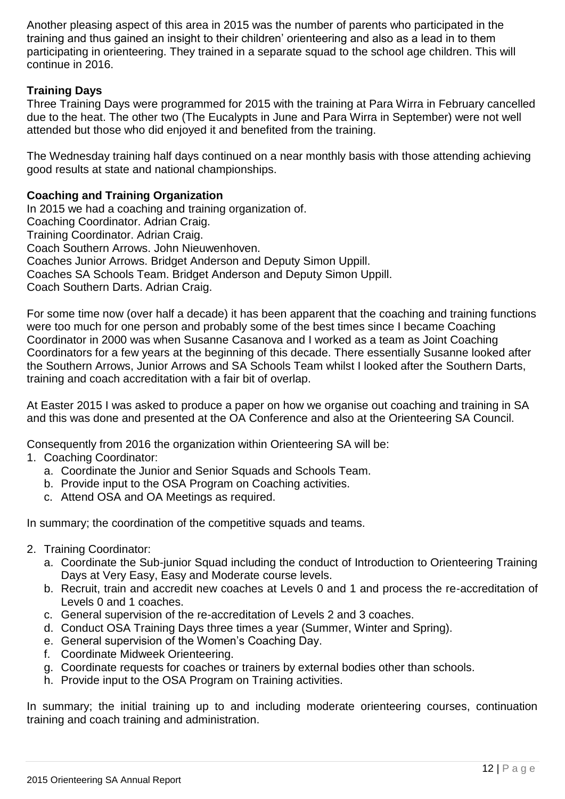Another pleasing aspect of this area in 2015 was the number of parents who participated in the training and thus gained an insight to their children' orienteering and also as a lead in to them participating in orienteering. They trained in a separate squad to the school age children. This will continue in 2016.

### **Training Days**

Three Training Days were programmed for 2015 with the training at Para Wirra in February cancelled due to the heat. The other two (The Eucalypts in June and Para Wirra in September) were not well attended but those who did enjoyed it and benefited from the training.

The Wednesday training half days continued on a near monthly basis with those attending achieving good results at state and national championships.

#### **Coaching and Training Organization**

In 2015 we had a coaching and training organization of. Coaching Coordinator. Adrian Craig. Training Coordinator. Adrian Craig. Coach Southern Arrows. John Nieuwenhoven. Coaches Junior Arrows. Bridget Anderson and Deputy Simon Uppill. Coaches SA Schools Team. Bridget Anderson and Deputy Simon Uppill. Coach Southern Darts. Adrian Craig.

For some time now (over half a decade) it has been apparent that the coaching and training functions were too much for one person and probably some of the best times since I became Coaching Coordinator in 2000 was when Susanne Casanova and I worked as a team as Joint Coaching Coordinators for a few years at the beginning of this decade. There essentially Susanne looked after the Southern Arrows, Junior Arrows and SA Schools Team whilst I looked after the Southern Darts, training and coach accreditation with a fair bit of overlap.

At Easter 2015 I was asked to produce a paper on how we organise out coaching and training in SA and this was done and presented at the OA Conference and also at the Orienteering SA Council.

Consequently from 2016 the organization within Orienteering SA will be:

- 1. Coaching Coordinator:
	- a. Coordinate the Junior and Senior Squads and Schools Team.
	- b. Provide input to the OSA Program on Coaching activities.
	- c. Attend OSA and OA Meetings as required.

In summary; the coordination of the competitive squads and teams.

- 2. Training Coordinator:
	- a. Coordinate the Sub-junior Squad including the conduct of Introduction to Orienteering Training Days at Very Easy, Easy and Moderate course levels.
	- b. Recruit, train and accredit new coaches at Levels 0 and 1 and process the re-accreditation of Levels 0 and 1 coaches.
	- c. General supervision of the re-accreditation of Levels 2 and 3 coaches.
	- d. Conduct OSA Training Days three times a year (Summer, Winter and Spring).
	- e. General supervision of the Women's Coaching Day.
	- f. Coordinate Midweek Orienteering.
	- g. Coordinate requests for coaches or trainers by external bodies other than schools.
	- h. Provide input to the OSA Program on Training activities.

In summary; the initial training up to and including moderate orienteering courses, continuation training and coach training and administration.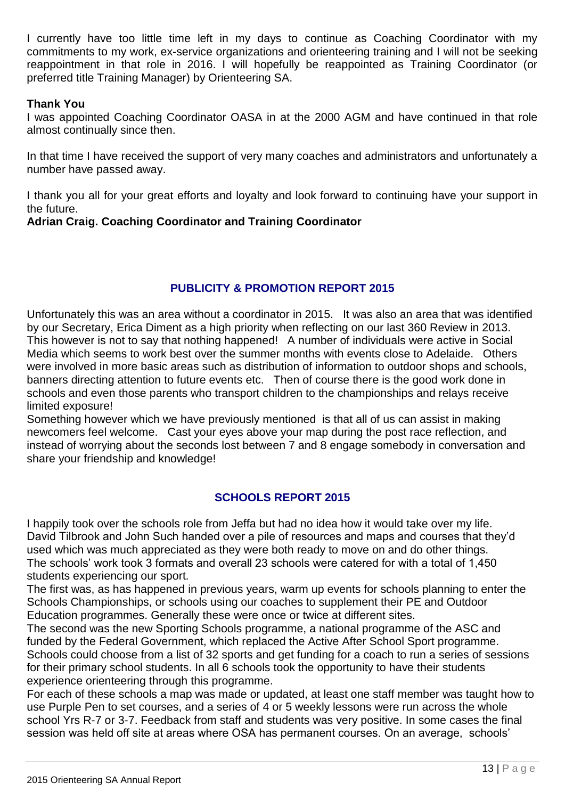I currently have too little time left in my days to continue as Coaching Coordinator with my commitments to my work, ex-service organizations and orienteering training and I will not be seeking reappointment in that role in 2016. I will hopefully be reappointed as Training Coordinator (or preferred title Training Manager) by Orienteering SA.

#### **Thank You**

I was appointed Coaching Coordinator OASA in at the 2000 AGM and have continued in that role almost continually since then.

In that time I have received the support of very many coaches and administrators and unfortunately a number have passed away.

I thank you all for your great efforts and loyalty and look forward to continuing have your support in the future.

#### **Adrian Craig. Coaching Coordinator and Training Coordinator**

#### **PUBLICITY & PROMOTION REPORT 2015**

Unfortunately this was an area without a coordinator in 2015. It was also an area that was identified by our Secretary, Erica Diment as a high priority when reflecting on our last 360 Review in 2013. This however is not to say that nothing happened! A number of individuals were active in Social Media which seems to work best over the summer months with events close to Adelaide. Others were involved in more basic areas such as distribution of information to outdoor shops and schools, banners directing attention to future events etc. Then of course there is the good work done in schools and even those parents who transport children to the championships and relays receive limited exposure!

Something however which we have previously mentioned is that all of us can assist in making newcomers feel welcome. Cast your eyes above your map during the post race reflection, and instead of worrying about the seconds lost between 7 and 8 engage somebody in conversation and share your friendship and knowledge!

#### **SCHOOLS REPORT 2015**

I happily took over the schools role from Jeffa but had no idea how it would take over my life. David Tilbrook and John Such handed over a pile of resources and maps and courses that they'd used which was much appreciated as they were both ready to move on and do other things. The schools' work took 3 formats and overall 23 schools were catered for with a total of 1,450 students experiencing our sport.

The first was, as has happened in previous years, warm up events for schools planning to enter the Schools Championships, or schools using our coaches to supplement their PE and Outdoor Education programmes. Generally these were once or twice at different sites.

The second was the new Sporting Schools programme, a national programme of the ASC and funded by the Federal Government, which replaced the Active After School Sport programme. Schools could choose from a list of 32 sports and get funding for a coach to run a series of sessions for their primary school students. In all 6 schools took the opportunity to have their students experience orienteering through this programme.

For each of these schools a map was made or updated, at least one staff member was taught how to use Purple Pen to set courses, and a series of 4 or 5 weekly lessons were run across the whole school Yrs R-7 or 3-7. Feedback from staff and students was very positive. In some cases the final session was held off site at areas where OSA has permanent courses. On an average, schools'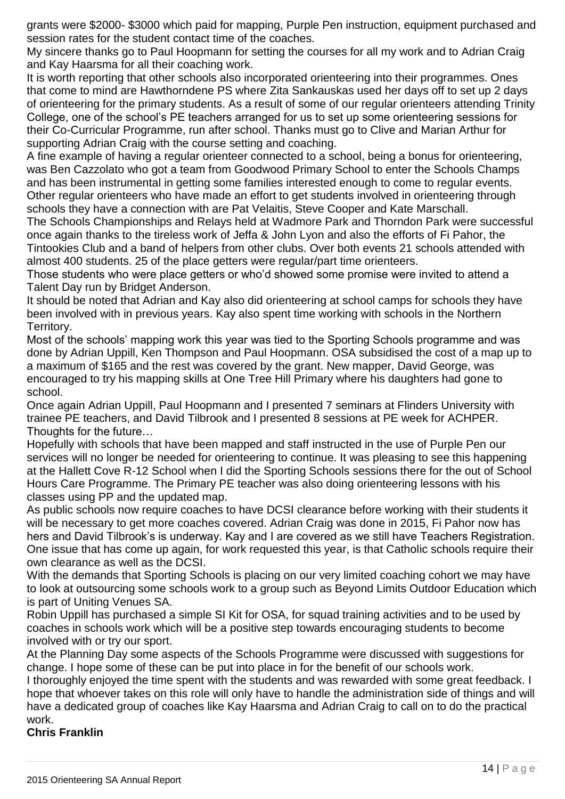grants were \$2000- \$3000 which paid for mapping, Purple Pen instruction, equipment purchased and session rates for the student contact time of the coaches.

My sincere thanks go to Paul Hoopmann for setting the courses for all my work and to Adrian Craig and Kay Haarsma for all their coaching work.

It is worth reporting that other schools also incorporated orienteering into their programmes. Ones that come to mind are Hawthorndene PS where Zita Sankauskas used her days off to set up 2 days of orienteering for the primary students. As a result of some of our regular orienteers attending Trinity College, one of the school's PE teachers arranged for us to set up some orienteering sessions for their Co-Curricular Programme, run after school. Thanks must go to Clive and Marian Arthur for supporting Adrian Craig with the course setting and coaching.

A fine example of having a regular orienteer connected to a school, being a bonus for orienteering, was Ben Cazzolato who got a team from Goodwood Primary School to enter the Schools Champs and has been instrumental in getting some families interested enough to come to regular events. Other regular orienteers who have made an effort to get students involved in orienteering through schools they have a connection with are Pat Velaitis, Steve Cooper and Kate Marschall.

The Schools Championships and Relays held at Wadmore Park and Thorndon Park were successful once again thanks to the tireless work of Jeffa & John Lyon and also the efforts of Fi Pahor, the Tintookies Club and a band of helpers from other clubs. Over both events 21 schools attended with almost 400 students. 25 of the place getters were regular/part time orienteers.

Those students who were place getters or who'd showed some promise were invited to attend a Talent Day run by Bridget Anderson.

It should be noted that Adrian and Kay also did orienteering at school camps for schools they have been involved with in previous years. Kay also spent time working with schools in the Northern Territory.

Most of the schools' mapping work this year was tied to the Sporting Schools programme and was done by Adrian Uppill, Ken Thompson and Paul Hoopmann. OSA subsidised the cost of a map up to a maximum of \$165 and the rest was covered by the grant. New mapper, David George, was encouraged to try his mapping skills at One Tree Hill Primary where his daughters had gone to school.

Once again Adrian Uppill, Paul Hoopmann and I presented 7 seminars at Flinders University with trainee PE teachers, and David Tilbrook and I presented 8 sessions at PE week for ACHPER. Thoughts for the future…

Hopefully with schools that have been mapped and staff instructed in the use of Purple Pen our services will no longer be needed for orienteering to continue. It was pleasing to see this happening at the Hallett Cove R-12 School when I did the Sporting Schools sessions there for the out of School Hours Care Programme. The Primary PE teacher was also doing orienteering lessons with his classes using PP and the updated map.

As public schools now require coaches to have DCSI clearance before working with their students it will be necessary to get more coaches covered. Adrian Craig was done in 2015, Fi Pahor now has hers and David Tilbrook's is underway. Kay and I are covered as we still have Teachers Registration. One issue that has come up again, for work requested this year, is that Catholic schools require their own clearance as well as the DCSI.

With the demands that Sporting Schools is placing on our very limited coaching cohort we may have to look at outsourcing some schools work to a group such as Beyond Limits Outdoor Education which is part of Uniting Venues SA.

Robin Uppill has purchased a simple SI Kit for OSA, for squad training activities and to be used by coaches in schools work which will be a positive step towards encouraging students to become involved with or try our sport.

At the Planning Day some aspects of the Schools Programme were discussed with suggestions for change. I hope some of these can be put into place in for the benefit of our schools work.

I thoroughly enjoyed the time spent with the students and was rewarded with some great feedback. I hope that whoever takes on this role will only have to handle the administration side of things and will have a dedicated group of coaches like Kay Haarsma and Adrian Craig to call on to do the practical work.

#### **Chris Franklin**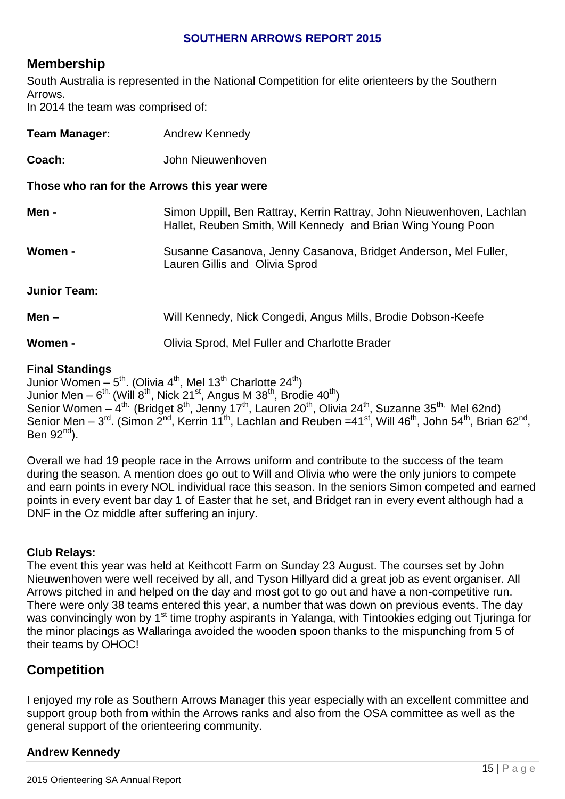#### **SOUTHERN ARROWS REPORT 2015**

# **Membership**

South Australia is represented in the National Competition for elite orienteers by the Southern Arrows. In 2014 the team was comprised of:

| <b>Team Manager:</b>                        | <b>Andrew Kennedy</b>                                                                                                                 |
|---------------------------------------------|---------------------------------------------------------------------------------------------------------------------------------------|
| Coach:                                      | John Nieuwenhoven                                                                                                                     |
| Those who ran for the Arrows this year were |                                                                                                                                       |
| Men -                                       | Simon Uppill, Ben Rattray, Kerrin Rattray, John Nieuwenhoven, Lachlan<br>Hallet, Reuben Smith, Will Kennedy and Brian Wing Young Poon |
| Women -                                     | Susanne Casanova, Jenny Casanova, Bridget Anderson, Mel Fuller,<br>Lauren Gillis and Olivia Sprod                                     |
| <b>Junior Team:</b>                         |                                                                                                                                       |
| $Men -$                                     | Will Kennedy, Nick Congedi, Angus Mills, Brodie Dobson-Keefe                                                                          |
| Women -                                     | Olivia Sprod, Mel Fuller and Charlotte Brader                                                                                         |
|                                             |                                                                                                                                       |

#### **Final Standings**

Junior Women –  $5<sup>th</sup>$ . (Olivia 4<sup>th</sup>, Mel 13<sup>th</sup> Charlotte 24<sup>th</sup>) Junior Men –  $6^{\text{th}}$  (Will 8 $^{\text{th}}$ , Nick 21 $^{\text{st}}$ , Angus M 38 $^{\text{th}}$ , Brodie 40 $^{\text{th}}$ ) Senior Women – 4<sup>th.</sup> (Bridget 8<sup>th</sup>, Jenny 17<sup>th</sup>, Lauren 20<sup>th</sup>, Olivia 24<sup>th</sup>, Suzanne 35<sup>th,</sup> Mel 62nd) Senior Men – 3<sup>rd</sup>. (Simon 2<sup>nd</sup>, Kerrin 11<sup>th</sup>, Lachlan and Reuben = 41<sup>st</sup>, Will 46<sup>th</sup>, John 54<sup>th</sup>, Brian 62<sup>nd</sup>, Ben  $92<sup>nd</sup>$ ).

Overall we had 19 people race in the Arrows uniform and contribute to the success of the team during the season. A mention does go out to Will and Olivia who were the only juniors to compete and earn points in every NOL individual race this season. In the seniors Simon competed and earned points in every event bar day 1 of Easter that he set, and Bridget ran in every event although had a DNF in the Oz middle after suffering an injury.

#### **Club Relays:**

The event this year was held at Keithcott Farm on Sunday 23 August. The courses set by John Nieuwenhoven were well received by all, and Tyson Hillyard did a great job as event organiser. All Arrows pitched in and helped on the day and most got to go out and have a non-competitive run. There were only 38 teams entered this year, a number that was down on previous events. The day was convincingly won by 1<sup>st</sup> time trophy aspirants in Yalanga, with Tintookies edging out Tiuringa for the minor placings as Wallaringa avoided the wooden spoon thanks to the mispunching from 5 of their teams by OHOC!

# **Competition**

I enjoyed my role as Southern Arrows Manager this year especially with an excellent committee and support group both from within the Arrows ranks and also from the OSA committee as well as the general support of the orienteering community.

# **Andrew Kennedy**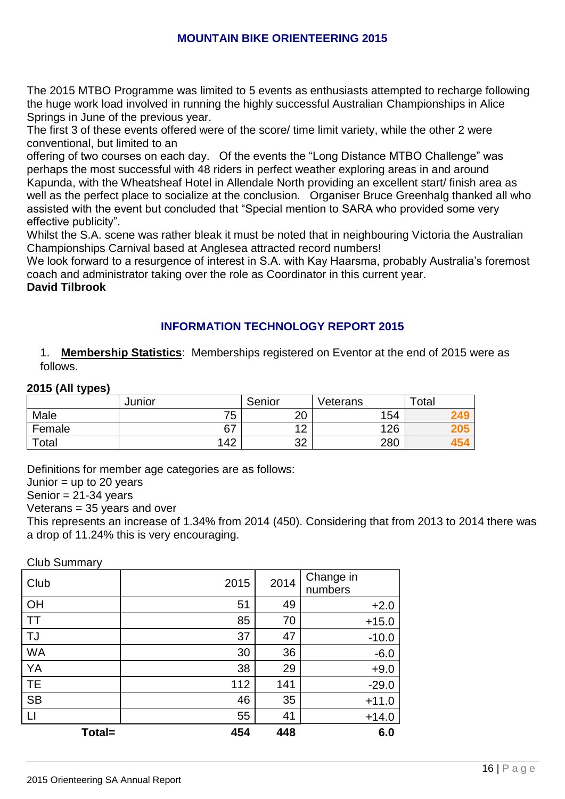#### **MOUNTAIN BIKE ORIENTEERING 2015**

The 2015 MTBO Programme was limited to 5 events as enthusiasts attempted to recharge following the huge work load involved in running the highly successful Australian Championships in Alice Springs in June of the previous year.

The first 3 of these events offered were of the score/ time limit variety, while the other 2 were conventional, but limited to an

offering of two courses on each day. Of the events the "Long Distance MTBO Challenge" was perhaps the most successful with 48 riders in perfect weather exploring areas in and around Kapunda, with the Wheatsheaf Hotel in Allendale North providing an excellent start/ finish area as well as the perfect place to socialize at the conclusion. Organiser Bruce Greenhalg thanked all who assisted with the event but concluded that "Special mention to SARA who provided some very effective publicity".

Whilst the S.A. scene was rather bleak it must be noted that in neighbouring Victoria the Australian Championships Carnival based at Anglesea attracted record numbers!

We look forward to a resurgence of interest in S.A. with Kay Haarsma, probably Australia's foremost coach and administrator taking over the role as Coordinator in this current year.

**David Tilbrook**

# **INFORMATION TECHNOLOGY REPORT 2015**

1. **Membership Statistics**: Memberships registered on Eventor at the end of 2015 were as follows.

#### **2015 (All types)**

| - -    | Junior | Senior                 | Veterans | $\tau$ otal     |
|--------|--------|------------------------|----------|-----------------|
| Male   | 75     | ററ<br>∠∪               | 154      | 249             |
| Female | 67     | $\sqrt{2}$<br><u>_</u> | 126      | 4U.             |
| Total  | 142    | ົດຕ<br>ےں              | 280      | 45 <sup>o</sup> |

Definitions for member age categories are as follows:

Junior  $=$  up to 20 years

Senior =  $21-34$  years

Veterans = 35 years and over

This represents an increase of 1.34% from 2014 (450). Considering that from 2013 to 2014 there was a drop of 11.24% this is very encouraging.

Club Summary

| -<br>Club | 2015 | 2014 | Change in<br>numbers |
|-----------|------|------|----------------------|
| OH        | 51   | 49   | $+2.0$               |
| <b>TT</b> | 85   | 70   | $+15.0$              |
| TJ        | 37   | 47   | $-10.0$              |
| <b>WA</b> | 30   | 36   | $-6.0$               |
| YA        | 38   | 29   | $+9.0$               |
| <b>TE</b> | 112  | 141  | $-29.0$              |
| <b>SB</b> | 46   | 35   | $+11.0$              |
| $\Box$    | 55   | 41   | $+14.0$              |
| Total=    | 454  | 448  | 6.0                  |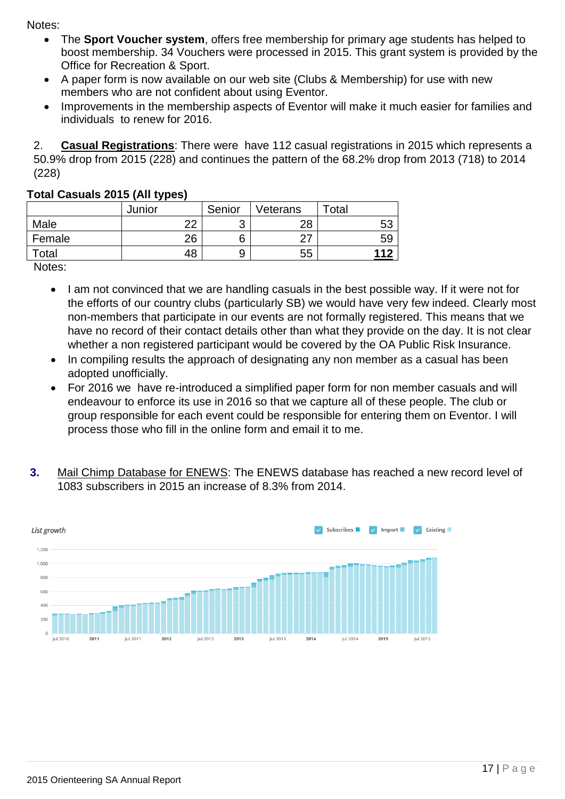Notes:

- The **Sport Voucher system**, offers free membership for primary age students has helped to boost membership. 34 Vouchers were processed in 2015. This grant system is provided by the Office for Recreation & Sport.
- A paper form is now available on our web site (Clubs & Membership) for use with new members who are not confident about using Eventor.
- Improvements in the membership aspects of Eventor will make it much easier for families and individuals to renew for 2016.

2. **Casual Registrations**: There were have 112 casual registrations in 2015 which represents a 50.9% drop from 2015 (228) and continues the pattern of the 68.2% drop from 2013 (718) to 2014 (228)

|        | Junior | Senior | Veterans | $\tau$ otal |
|--------|--------|--------|----------|-------------|
| Male   | ົດຕ    |        | 28       |             |
| Female | 26     |        | ົ        | 59          |
| Total  | 48     |        | 55       |             |

# **Total Casuals 2015 (All types)**

Notes:

- I am not convinced that we are handling casuals in the best possible way. If it were not for the efforts of our country clubs (particularly SB) we would have very few indeed. Clearly most non-members that participate in our events are not formally registered. This means that we have no record of their contact details other than what they provide on the day. It is not clear whether a non registered participant would be covered by the OA Public Risk Insurance.
- In compiling results the approach of designating any non member as a casual has been adopted unofficially.
- For 2016 we have re-introduced a simplified paper form for non member casuals and will endeavour to enforce its use in 2016 so that we capture all of these people. The club or group responsible for each event could be responsible for entering them on Eventor. I will process those who fill in the online form and email it to me.
- **3.** Mail Chimp Database for ENEWS: The ENEWS database has reached a new record level of 1083 subscribers in 2015 an increase of 8.3% from 2014.

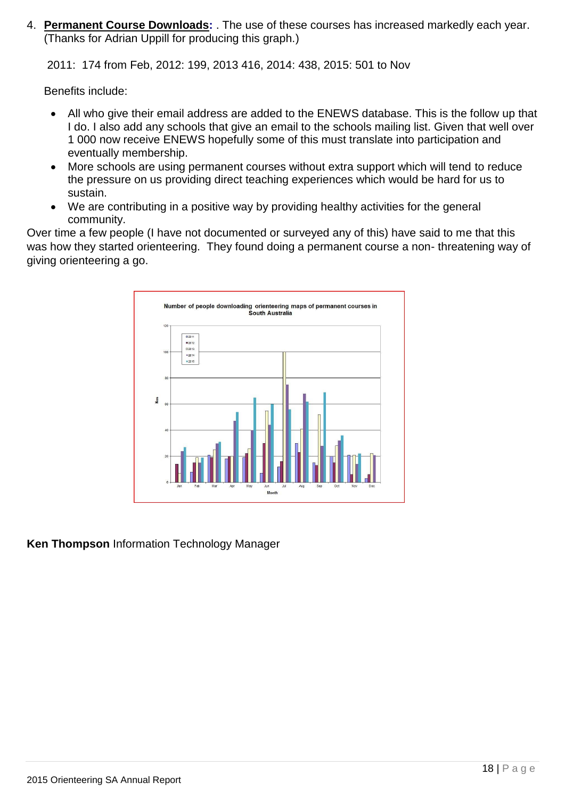4. **Permanent Course Downloads:** . The use of these courses has increased markedly each year. (Thanks for Adrian Uppill for producing this graph.)

2011: 174 from Feb, 2012: 199, 2013 416, 2014: 438, 2015: 501 to Nov

Benefits include:

- All who give their email address are added to the ENEWS database. This is the follow up that I do. I also add any schools that give an email to the schools mailing list. Given that well over 1 000 now receive ENEWS hopefully some of this must translate into participation and eventually membership.
- More schools are using permanent courses without extra support which will tend to reduce the pressure on us providing direct teaching experiences which would be hard for us to sustain.
- We are contributing in a positive way by providing healthy activities for the general community.

Over time a few people (I have not documented or surveyed any of this) have said to me that this was how they started orienteering. They found doing a permanent course a non- threatening way of giving orienteering a go.



**Ken Thompson** Information Technology Manager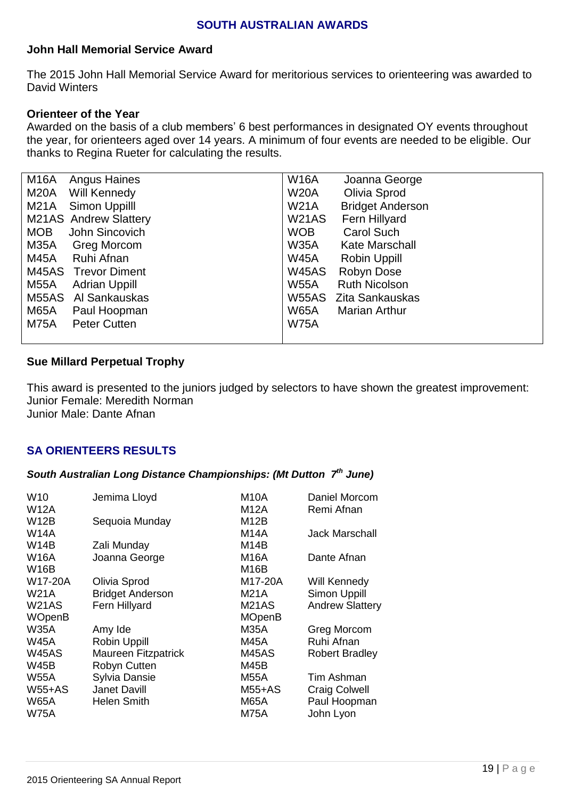#### **SOUTH AUSTRALIAN AWARDS**

#### **John Hall Memorial Service Award**

The 2015 John Hall Memorial Service Award for meritorious services to orienteering was awarded to David Winters

#### **Orienteer of the Year**

Awarded on the basis of a club members' 6 best performances in designated OY events throughout the year, for orienteers aged over 14 years. A minimum of four events are needed to be eligible. Our thanks to Regina Rueter for calculating the results.

| <b>Angus Haines</b>         | <b>W16A</b>                   |
|-----------------------------|-------------------------------|
| M16A                        | Joanna George                 |
| M20A                        | Olivia Sprod                  |
| Will Kennedy                | <b>W20A</b>                   |
| Simon Uppilll               | <b>W21A</b>                   |
| M21A                        | <b>Bridget Anderson</b>       |
| M21AS Andrew Slattery       | <b>W21AS</b><br>Fern Hillyard |
| John Sincovich              | <b>WOB</b>                    |
| <b>MOB</b>                  | <b>Carol Such</b>             |
| M35A                        | <b>W35A</b>                   |
| Greg Morcom                 | <b>Kate Marschall</b>         |
| Ruhi Afnan                  | <b>W45A</b>                   |
| M45A                        | Robin Uppill                  |
| M45AS Trevor Diment         | <b>W45AS</b><br>Robyn Dose    |
| M55A                        | <b>W55A</b>                   |
| <b>Adrian Uppill</b>        | <b>Ruth Nicolson</b>          |
| Al Sankauskas               | <b>W55AS</b>                  |
| M55AS                       | Zita Sankauskas               |
| M65A                        | <b>W65A</b>                   |
| Paul Hoopman                | <b>Marian Arthur</b>          |
| <b>Peter Cutten</b><br>M75A | <b>W75A</b>                   |
|                             |                               |

#### **Sue Millard Perpetual Trophy**

This award is presented to the juniors judged by selectors to have shown the greatest improvement: Junior Female: Meredith Norman Junior Male: Dante Afnan

#### **SA ORIENTEERS RESULTS**

#### *South Australian Long Distance Championships: (Mt Dutton 7 th June)*

| W <sub>10</sub> | Jemima Lloyd               | M10A               | Daniel Morcom          |
|-----------------|----------------------------|--------------------|------------------------|
| <b>W12A</b>     |                            | M12A               | Remi Afnan             |
| <b>W12B</b>     | Sequoia Munday             | M <sub>12</sub> B  |                        |
| W14A            |                            | M14A               | <b>Jack Marschall</b>  |
| <b>W14B</b>     | Zali Munday                | M <sub>14</sub> B  |                        |
| <b>W16A</b>     | Joanna George              | <b>M16A</b>        | Dante Afnan            |
| <b>W16B</b>     |                            | M16B               |                        |
| W17-20A         | Olivia Sprod               | M17-20A            | Will Kennedy           |
| <b>W21A</b>     | <b>Bridget Anderson</b>    | M21A               | Simon Uppill           |
| <b>W21AS</b>    | Fern Hillyard              | M <sub>21</sub> AS | <b>Andrew Slattery</b> |
| <b>WOpenB</b>   |                            | <b>MOpenB</b>      |                        |
| <b>W35A</b>     | Amy Ide                    | <b>M35A</b>        | Greg Morcom            |
| <b>W45A</b>     | <b>Robin Uppill</b>        | <b>M45A</b>        | Ruhi Afnan             |
| <b>W45AS</b>    | <b>Maureen Fitzpatrick</b> | <b>M45AS</b>       | <b>Robert Bradley</b>  |
| <b>W45B</b>     | Robyn Cutten               | M45B               |                        |
| <b>W55A</b>     | Sylvia Dansie              | <b>M55A</b>        | Tim Ashman             |
| $W55+AS$        | <b>Janet Davill</b>        | $M55+AS$           | <b>Craig Colwell</b>   |
| <b>W65A</b>     | <b>Helen Smith</b>         | <b>M65A</b>        | Paul Hoopman           |
| <b>W75A</b>     |                            | <b>M75A</b>        | John Lyon              |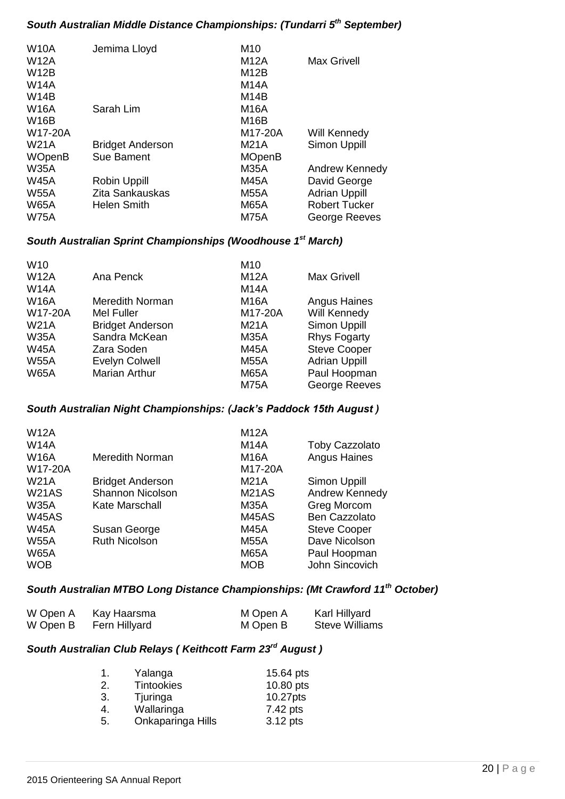# *South Australian Middle Distance Championships: (Tundarri 5th September)*

| <b>W10A</b>   | Jemima Lloyd            | M10               |                      |
|---------------|-------------------------|-------------------|----------------------|
| <b>W12A</b>   |                         | M12A              | <b>Max Grivell</b>   |
| <b>W12B</b>   |                         | M12B              |                      |
| <b>W14A</b>   |                         | M14A              |                      |
| <b>W14B</b>   |                         | M <sub>14</sub> B |                      |
| <b>W16A</b>   | Sarah Lim               | M16A              |                      |
| <b>W16B</b>   |                         | M <sub>16</sub> B |                      |
| W17-20A       |                         | M17-20A           | Will Kennedy         |
| W21A          | <b>Bridget Anderson</b> | M21A              | <b>Simon Uppill</b>  |
| <b>WOpenB</b> | <b>Sue Bament</b>       | <b>MOpenB</b>     |                      |
| <b>W35A</b>   |                         | <b>M35A</b>       | Andrew Kennedy       |
| <b>W45A</b>   | <b>Robin Uppill</b>     | M45A              | David George         |
| <b>W55A</b>   | Zita Sankauskas         | M55A              | <b>Adrian Uppill</b> |
| <b>W65A</b>   | <b>Helen Smith</b>      | <b>M65A</b>       | <b>Robert Tucker</b> |
| <b>W75A</b>   |                         | M75A              | George Reeves        |
|               |                         |                   |                      |

# *South Australian Sprint Championships (Woodhouse 1st March)*

| W <sub>10</sub> |                         | M <sub>10</sub> |                      |
|-----------------|-------------------------|-----------------|----------------------|
| <b>W12A</b>     | Ana Penck               | <b>M12A</b>     | <b>Max Grivell</b>   |
| <b>W14A</b>     |                         | <b>M14A</b>     |                      |
| <b>W16A</b>     | Meredith Norman         | M16A            | <b>Angus Haines</b>  |
| W17-20A         | Mel Fuller              | M17-20A         | Will Kennedy         |
| <b>W21A</b>     | <b>Bridget Anderson</b> | M21A            | <b>Simon Uppill</b>  |
| <b>W35A</b>     | Sandra McKean           | <b>M35A</b>     | <b>Rhys Fogarty</b>  |
| <b>W45A</b>     | Zara Soden              | <b>M45A</b>     | <b>Steve Cooper</b>  |
| <b>W55A</b>     | <b>Evelyn Colwell</b>   | <b>M55A</b>     | <b>Adrian Uppill</b> |
| <b>W65A</b>     | <b>Marian Arthur</b>    | <b>M65A</b>     | Paul Hoopman         |
|                 |                         | <b>M75A</b>     | George Reeves        |
|                 |                         |                 |                      |

## *South Australian Night Championships: (Jack's Paddock 15th August )*

|                         | <b>M12A</b>        |                       |
|-------------------------|--------------------|-----------------------|
|                         | <b>M14A</b>        | <b>Toby Cazzolato</b> |
| Meredith Norman         | <b>M16A</b>        | <b>Angus Haines</b>   |
|                         | M17-20A            |                       |
| <b>Bridget Anderson</b> | M21A               | Simon Uppill          |
| <b>Shannon Nicolson</b> | M <sub>21</sub> AS | Andrew Kennedy        |
| Kate Marschall          | M35A               | Greg Morcom           |
|                         | <b>M45AS</b>       | <b>Ben Cazzolato</b>  |
| Susan George            | M45A               | <b>Steve Cooper</b>   |
| <b>Ruth Nicolson</b>    | <b>M55A</b>        | Dave Nicolson         |
|                         | <b>M65A</b>        | Paul Hoopman          |
|                         | <b>MOB</b>         | John Sincovich        |
|                         |                    |                       |

# *South Australian MTBO Long Distance Championships: (Mt Crawford 11th October)*

| W Open A | Kay Haarsma   | M Open A | Karl Hillyard         |
|----------|---------------|----------|-----------------------|
| W Open B | Fern Hillyard | M Open B | <b>Steve Williams</b> |

# *South Australian Club Relays ( Keithcott Farm 23rd August )*

| 1. | Yalanga           | 15.64 pts |
|----|-------------------|-----------|
| 2. | <b>Tintookies</b> | 10.80 pts |
| 3. | Tjuringa          | 10.27pts  |
| 4. | Wallaringa        | 7.42 pts  |
| 5. | Onkaparinga Hills | 3.12 pts  |
|    |                   |           |